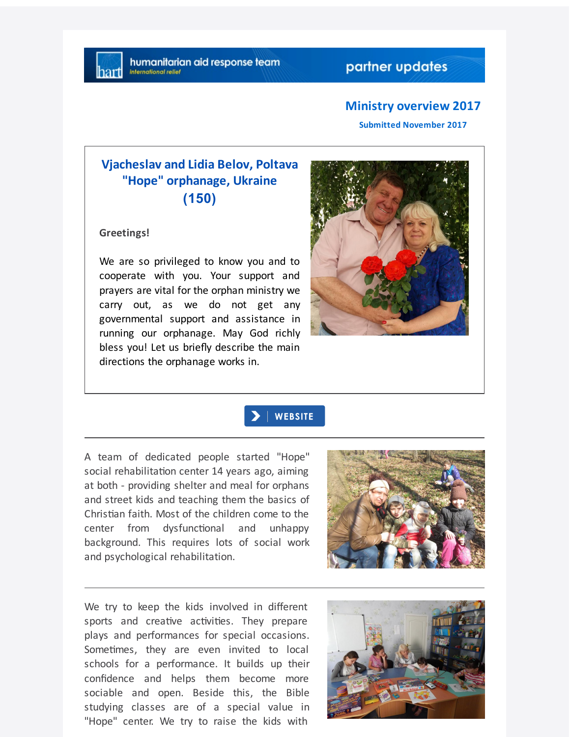#### **Ministry overview 2017**

**Submitted November 2017**

# **Vjacheslav and Lidia Belov, Poltava "Hope" orphanage, Ukraine (150)**

**Greetings!**

We are so privileged to know you and to cooperate with you. Your support and prayers are vital for the orphan ministry we carry out, as we do not get any governmental support and assistance in running our orphanage. May God richly bless you! Let us briefly describe the main directions the orphanage works in.



## **WEBSITE**

A team of dedicated people started "Hope" social rehabilitation center 14 years ago, aiming at both - providing shelter and meal for orphans and street kids and teaching them the basics of Christian faith. Most of the children come to the center from dysfunctional and unhappy background. This requires lots of social work and psychological rehabilitation.



We try to keep the kids involved in different sports and creative activities. They prepare plays and performances for special occasions. Sometimes, they are even invited to local schools for a performance. It builds up their confidence and helps them become more sociable and open. Beside this, the Bible studying classes are of a special value in "Hope" center. We try to raise the kids with